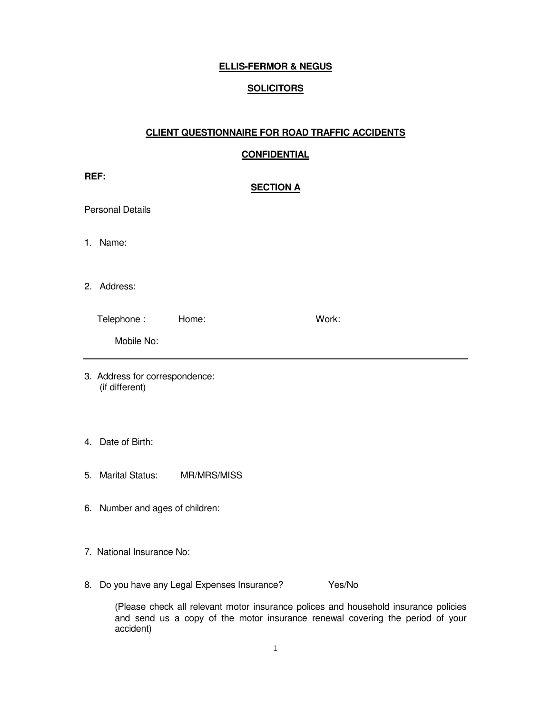## **ELLIS-FERMOR & NEGUS**

### **SOLICITORS**

#### **CLIENT QUESTIONNAIRE FOR ROAD TRAFFIC ACCIDENTS**

### **CONFIDENTIAL**

| REF:<br><b>SECTION A</b>                         |                                 |                                           |  |                                                                                      |  |
|--------------------------------------------------|---------------------------------|-------------------------------------------|--|--------------------------------------------------------------------------------------|--|
|                                                  | <b>Personal Details</b>         |                                           |  |                                                                                      |  |
|                                                  | 1. Name:                        |                                           |  |                                                                                      |  |
|                                                  | 2. Address:                     |                                           |  |                                                                                      |  |
|                                                  | Telephone: Home:                |                                           |  | Work:                                                                                |  |
|                                                  | Mobile No:                      |                                           |  |                                                                                      |  |
| 3. Address for correspondence:<br>(if different) |                                 |                                           |  |                                                                                      |  |
|                                                  | 4. Date of Birth:               |                                           |  |                                                                                      |  |
|                                                  | 5. Marital Status: MR/MRS/MISS  |                                           |  |                                                                                      |  |
|                                                  | 6. Number and ages of children: |                                           |  |                                                                                      |  |
|                                                  | 7. National Insurance No:       |                                           |  |                                                                                      |  |
| 8.                                               |                                 | Do you have any Legal Expenses Insurance? |  | Yes/No                                                                               |  |
|                                                  |                                 |                                           |  | colored plants all relaxant meter inqurance polices and household inqurance policies |  |

(Please check all relevant motor insurance polices and household insurance policies and send us a copy of the motor insurance renewal covering the period of your accident)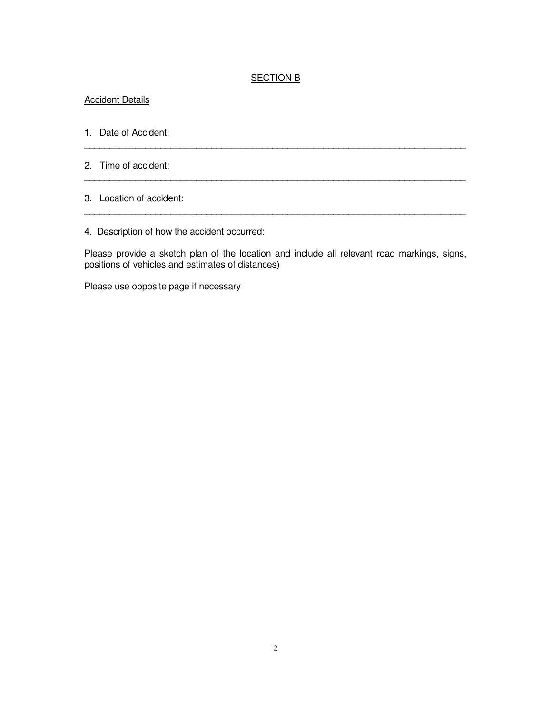#### SECTION B

\_\_\_\_\_\_\_\_\_\_\_\_\_\_\_\_\_\_\_\_\_\_\_\_\_\_\_\_\_\_\_\_\_\_\_\_\_\_\_\_\_\_\_\_\_\_\_\_\_\_\_\_\_\_\_\_\_\_\_\_\_\_\_\_\_\_\_\_\_\_\_\_\_\_\_

\_\_\_\_\_\_\_\_\_\_\_\_\_\_\_\_\_\_\_\_\_\_\_\_\_\_\_\_\_\_\_\_\_\_\_\_\_\_\_\_\_\_\_\_\_\_\_\_\_\_\_\_\_\_\_\_\_\_\_\_\_\_\_\_\_\_\_\_\_\_\_\_\_\_\_

\_\_\_\_\_\_\_\_\_\_\_\_\_\_\_\_\_\_\_\_\_\_\_\_\_\_\_\_\_\_\_\_\_\_\_\_\_\_\_\_\_\_\_\_\_\_\_\_\_\_\_\_\_\_\_\_\_\_\_\_\_\_\_\_\_\_\_\_\_\_\_\_\_\_\_

#### **Accident Details**

- 1. Date of Accident:
- 2. Time of accident:
- 3. Location of accident:
- 4. Description of how the accident occurred:

Please provide a sketch plan of the location and include all relevant road markings, signs, positions of vehicles and estimates of distances)

Please use opposite page if necessary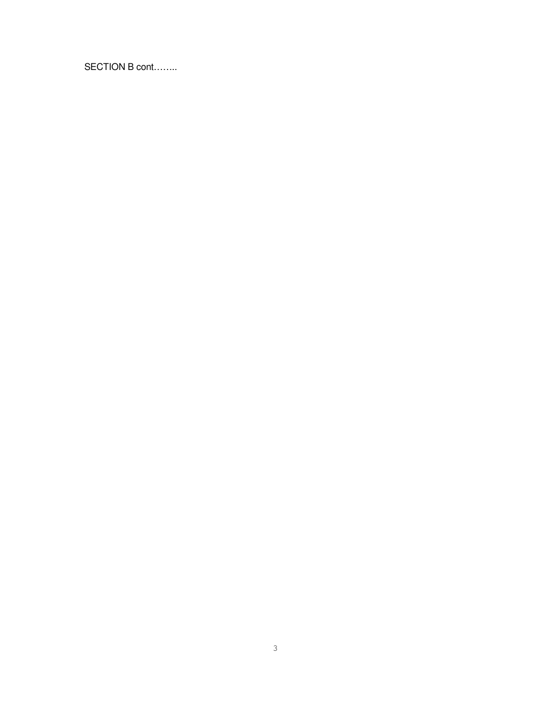SECTION B cont……..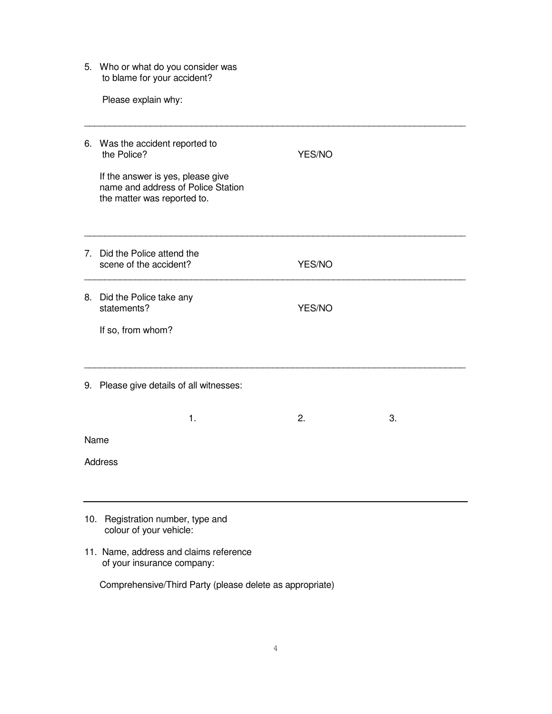5. Who or what do you consider was to blame for your accident?

Please explain why:

|     | 6. Was the accident reported to<br>the Police?<br>If the answer is yes, please give<br>name and address of Police Station<br>the matter was reported to. | YES/NO |    |  |
|-----|----------------------------------------------------------------------------------------------------------------------------------------------------------|--------|----|--|
|     | 7. Did the Police attend the<br>scene of the accident?                                                                                                   | YES/NO |    |  |
|     | 8. Did the Police take any<br>statements?<br>If so, from whom?                                                                                           | YES/NO |    |  |
|     | 9. Please give details of all witnesses:                                                                                                                 |        |    |  |
|     | 1.                                                                                                                                                       | 2.     | 3. |  |
|     | Name                                                                                                                                                     |        |    |  |
|     | <b>Address</b>                                                                                                                                           |        |    |  |
| 10. | Registration number, type and<br>colour of your vehicle:                                                                                                 |        |    |  |

11. Name, address and claims reference of your insurance company:

Comprehensive/Third Party (please delete as appropriate)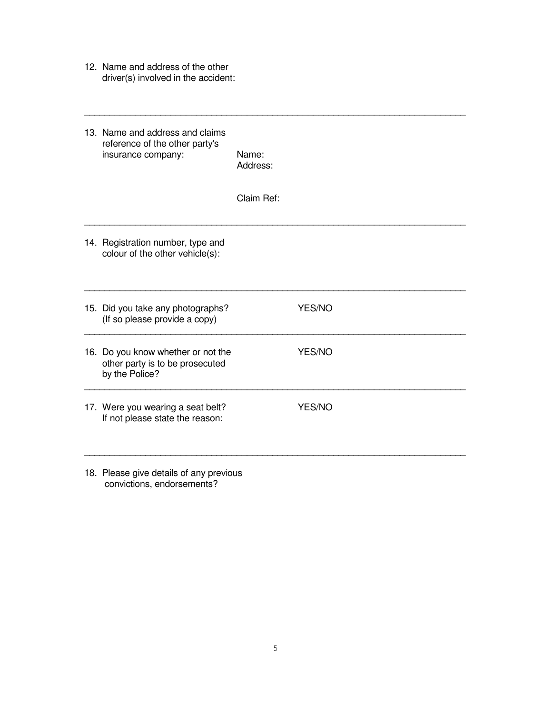12. Name and address of the other driver(s) involved in the accident:

| 13. Name and address and claims<br>reference of the other party's<br>insurance company: | Name:<br>Address: |        |
|-----------------------------------------------------------------------------------------|-------------------|--------|
|                                                                                         | Claim Ref:        |        |
| 14. Registration number, type and<br>colour of the other vehicle(s):                    |                   |        |
| 15. Did you take any photographs?<br>(If so please provide a copy)                      |                   | YES/NO |
| 16. Do you know whether or not the<br>other party is to be prosecuted<br>by the Police? |                   | YES/NO |
| 17. Were you wearing a seat belt?<br>If not please state the reason:                    |                   | YES/NO |
|                                                                                         |                   |        |

18. Please give details of any previous convictions, endorsements?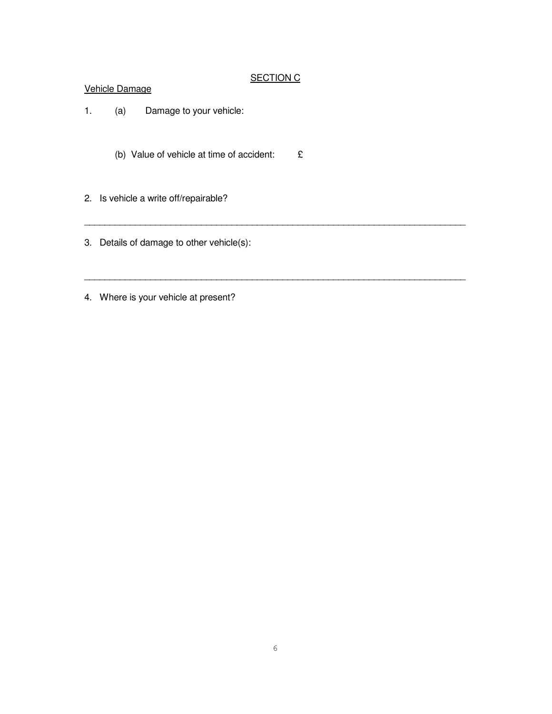## SECTION C

\_\_\_\_\_\_\_\_\_\_\_\_\_\_\_\_\_\_\_\_\_\_\_\_\_\_\_\_\_\_\_\_\_\_\_\_\_\_\_\_\_\_\_\_\_\_\_\_\_\_\_\_\_\_\_\_\_\_\_\_\_\_\_\_\_\_\_\_\_\_\_\_\_\_\_

\_\_\_\_\_\_\_\_\_\_\_\_\_\_\_\_\_\_\_\_\_\_\_\_\_\_\_\_\_\_\_\_\_\_\_\_\_\_\_\_\_\_\_\_\_\_\_\_\_\_\_\_\_\_\_\_\_\_\_\_\_\_\_\_\_\_\_\_\_\_\_\_\_\_\_

#### Vehicle Damage

- 1. (a) Damage to your vehicle:
	- (b) Value of vehicle at time of accident: £
- 2. Is vehicle a write off/repairable?
- 3. Details of damage to other vehicle(s):

4. Where is your vehicle at present?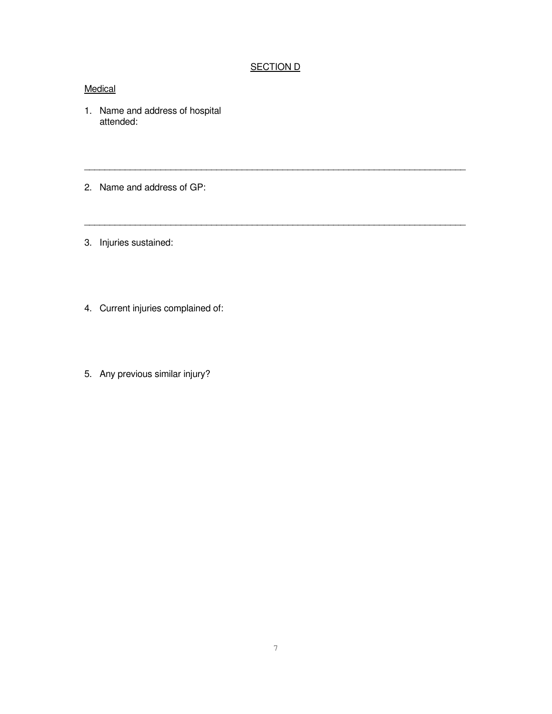# **SECTION D**

\_\_\_\_\_\_\_\_\_\_\_\_\_\_\_\_\_\_\_\_\_\_\_\_\_\_\_\_\_\_\_\_\_\_\_\_\_\_\_\_\_\_\_\_\_\_\_\_\_\_\_\_\_\_\_\_\_\_\_\_\_\_\_\_\_\_\_\_\_\_\_\_\_\_\_

\_\_\_\_\_\_\_\_\_\_\_\_\_\_\_\_\_\_\_\_\_\_\_\_\_\_\_\_\_\_\_\_\_\_\_\_\_\_\_\_\_\_\_\_\_\_\_\_\_\_\_\_\_\_\_\_\_\_\_\_\_\_\_\_\_\_\_\_\_\_\_\_\_\_\_

### **Medical**

- 1. Name and address of hospital attended:
- 2. Name and address of GP:
- 3. Injuries sustained:
- 4. Current injuries complained of:
- 5. Any previous similar injury?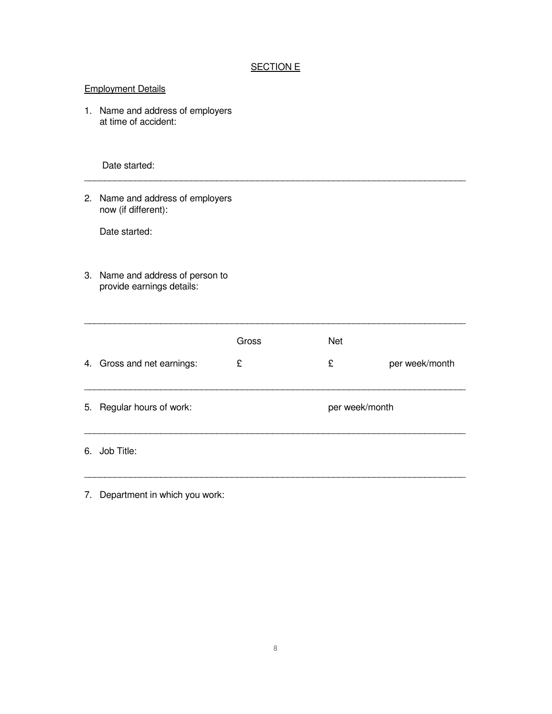# SECTION E

| <b>Employment Details</b> |                                                               |       |                |                |
|---------------------------|---------------------------------------------------------------|-------|----------------|----------------|
|                           | 1. Name and address of employers<br>at time of accident:      |       |                |                |
|                           | Date started:                                                 |       |                |                |
|                           | 2. Name and address of employers<br>now (if different):       |       |                |                |
|                           | Date started:                                                 |       |                |                |
|                           | 3. Name and address of person to<br>provide earnings details: |       |                |                |
|                           |                                                               | Gross | <b>Net</b>     |                |
|                           | 4. Gross and net earnings:                                    | £     | £              | per week/month |
|                           | 5. Regular hours of work:                                     |       | per week/month |                |
|                           | 6. Job Title:                                                 |       |                |                |
|                           |                                                               |       |                |                |

7. Department in which you work: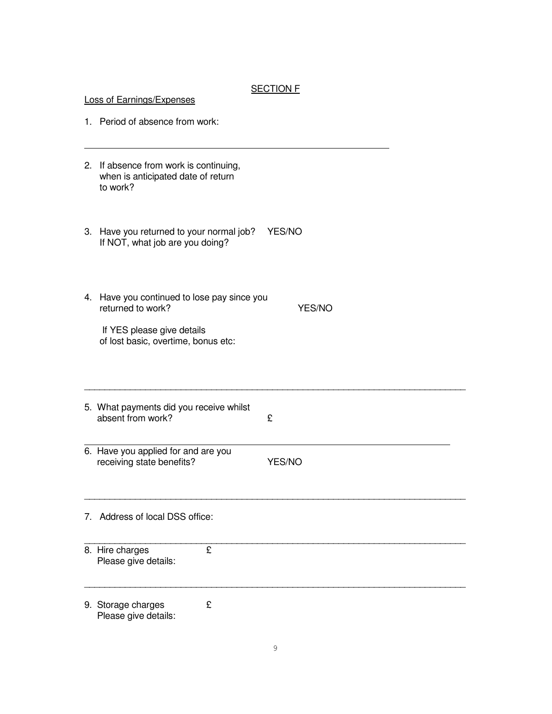#### **SECTION F**

| <b>Loss of Earnings/Expenses</b> |                                                                                          |        |  |
|----------------------------------|------------------------------------------------------------------------------------------|--------|--|
|                                  | 1. Period of absence from work:                                                          |        |  |
|                                  | 2. If absence from work is continuing,<br>when is anticipated date of return<br>to work? |        |  |
|                                  | 3. Have you returned to your normal job?<br>If NOT, what job are you doing?              | YES/NO |  |
|                                  | 4. Have you continued to lose pay since you<br>returned to work?                         | YES/NO |  |
|                                  | If YES please give details<br>of lost basic, overtime, bonus etc:                        |        |  |
|                                  | 5. What payments did you receive whilst<br>absent from work?                             | £      |  |
|                                  | 6. Have you applied for and are you<br>receiving state benefits?                         | YES/NO |  |
| $7_{\scriptscriptstyle{\sim}}$   | Address of local DSS office:                                                             |        |  |
|                                  | £<br>8. Hire charges<br>Please give details:                                             |        |  |
|                                  | 9. Storage charges<br>£<br>Please give details:                                          |        |  |